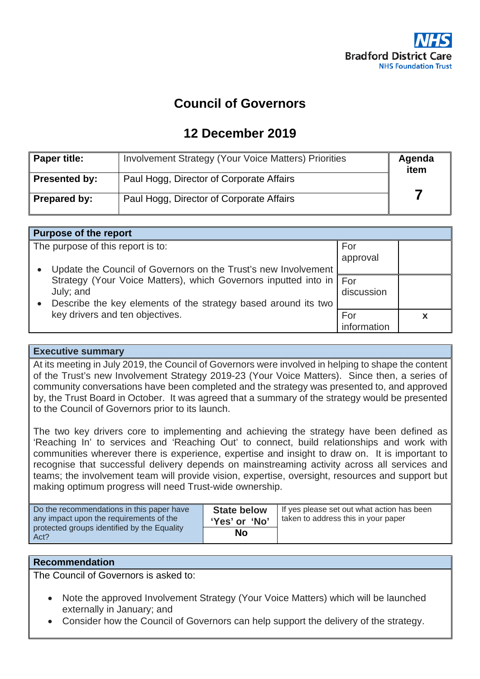

## **Council of Governors**

## **12 December 2019**

| <b>Paper title:</b>  | <b>Involvement Strategy (Your Voice Matters) Priorities</b> | Agenda<br>item |
|----------------------|-------------------------------------------------------------|----------------|
| <b>Presented by:</b> | Paul Hogg, Director of Corporate Affairs                    |                |
| Prepared by:         | Paul Hogg, Director of Corporate Affairs                    |                |

| <b>Purpose of the report</b>                                                                                                                         |                 |  |  |  |
|------------------------------------------------------------------------------------------------------------------------------------------------------|-----------------|--|--|--|
| The purpose of this report is to:<br>Update the Council of Governors on the Trust's new Involvement                                                  | For<br>approval |  |  |  |
| Strategy (Your Voice Matters), which Governors inputted into in   For<br>July; and<br>Describe the key elements of the strategy based around its two | discussion      |  |  |  |
| key drivers and ten objectives.                                                                                                                      | For             |  |  |  |

### **Executive summary**

At its meeting in July 2019, the Council of Governors were involved in helping to shape the content of the Trust's new Involvement Strategy 2019-23 (Your Voice Matters). Since then, a series of community conversations have been completed and the strategy was presented to, and approved by, the Trust Board in October. It was agreed that a summary of the strategy would be presented to the Council of Governors prior to its launch.

The two key drivers core to implementing and achieving the strategy have been defined as 'Reaching In' to services and 'Reaching Out' to connect, build relationships and work with communities wherever there is experience, expertise and insight to draw on. It is important to recognise that successful delivery depends on mainstreaming activity across all services and teams; the involvement team will provide vision, expertise, oversight, resources and support but making optimum progress will need Trust-wide ownership.

| Do the recommendations in this paper have<br>any impact upon the requirements of the<br>protected groups identified by the Equality<br>Act? | <b>State below</b><br>'Yes' or 'No' | If yes please set out what action has been<br>taken to address this in your paper |
|---------------------------------------------------------------------------------------------------------------------------------------------|-------------------------------------|-----------------------------------------------------------------------------------|
|                                                                                                                                             | No                                  |                                                                                   |

### **Recommendation**

The Council of Governors is asked to:

- Note the approved Involvement Strategy (Your Voice Matters) which will be launched externally in January; and
- Consider how the Council of Governors can help support the delivery of the strategy.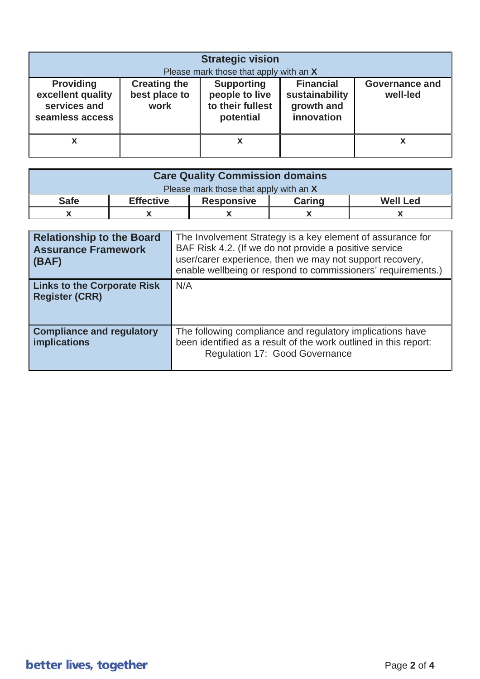| <b>Strategic vision</b>                                                  |                                              |                                                                      |                                                                |                                   |
|--------------------------------------------------------------------------|----------------------------------------------|----------------------------------------------------------------------|----------------------------------------------------------------|-----------------------------------|
|                                                                          | Please mark those that apply with an X       |                                                                      |                                                                |                                   |
| <b>Providing</b><br>excellent quality<br>services and<br>seamless access | <b>Creating the</b><br>best place to<br>work | <b>Supporting</b><br>people to live<br>to their fullest<br>potential | <b>Financial</b><br>sustainability<br>growth and<br>innovation | <b>Governance and</b><br>well-led |
| x                                                                        |                                              | х                                                                    |                                                                |                                   |

| <b>Care Quality Commission domains</b> |                  |                   |               |                 |
|----------------------------------------|------------------|-------------------|---------------|-----------------|
| Please mark those that apply with an X |                  |                   |               |                 |
| <b>Safe</b>                            | <b>Effective</b> | <b>Responsive</b> | <b>Caring</b> | <b>Well Led</b> |
|                                        |                  |                   |               |                 |

| <b>Relationship to the Board</b><br><b>Assurance Framework</b><br>(BAF) | The Involvement Strategy is a key element of assurance for<br>BAF Risk 4.2. (If we do not provide a positive service<br>user/carer experience, then we may not support recovery,<br>enable wellbeing or respond to commissioners' requirements.) |
|-------------------------------------------------------------------------|--------------------------------------------------------------------------------------------------------------------------------------------------------------------------------------------------------------------------------------------------|
| <b>Links to the Corporate Risk</b><br><b>Register (CRR)</b>             | N/A                                                                                                                                                                                                                                              |
| <b>Compliance and regulatory</b><br><b>implications</b>                 | The following compliance and regulatory implications have<br>been identified as a result of the work outlined in this report:<br>Regulation 17: Good Governance                                                                                  |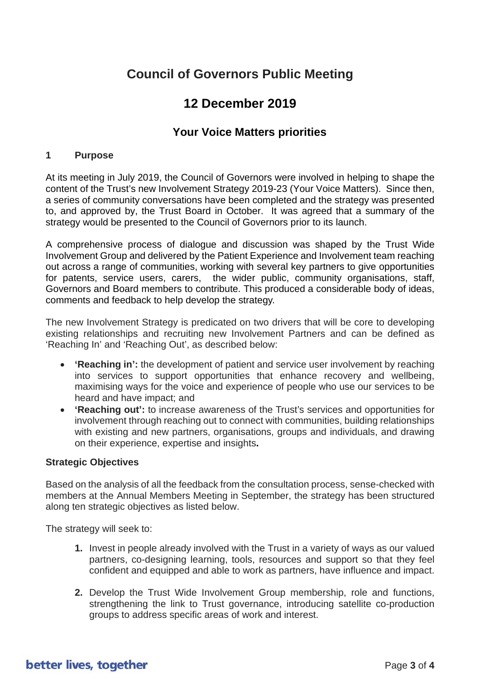# **Council of Governors Public Meeting**

## **12 December 2019**

### **Your Voice Matters priorities**

#### **1 Purpose**

At its meeting in July 2019, the Council of Governors were involved in helping to shape the content of the Trust's new Involvement Strategy 2019-23 (Your Voice Matters). Since then, a series of community conversations have been completed and the strategy was presented to, and approved by, the Trust Board in October. It was agreed that a summary of the strategy would be presented to the Council of Governors prior to its launch.

A comprehensive process of dialogue and discussion was shaped by the Trust Wide Involvement Group and delivered by the Patient Experience and Involvement team reaching out across a range of communities, working with several key partners to give opportunities for patents, service users, carers, the wider public, community organisations, staff, Governors and Board members to contribute. This produced a considerable body of ideas, comments and feedback to help develop the strategy.

The new Involvement Strategy is predicated on two drivers that will be core to developing existing relationships and recruiting new Involvement Partners and can be defined as 'Reaching In' and 'Reaching Out', as described below:

- **'Reaching in':** the development of patient and service user involvement by reaching into services to support opportunities that enhance recovery and wellbeing, maximising ways for the voice and experience of people who use our services to be heard and have impact; and
- **'Reaching out':** to increase awareness of the Trust's services and opportunities for involvement through reaching out to connect with communities, building relationships with existing and new partners, organisations, groups and individuals, and drawing on their experience, expertise and insights**.**

### **Strategic Objectives**

Based on the analysis of all the feedback from the consultation process, sense-checked with members at the Annual Members Meeting in September, the strategy has been structured along ten strategic objectives as listed below.

The strategy will seek to:

- **1.** Invest in people already involved with the Trust in a variety of ways as our valued partners, co-designing learning, tools, resources and support so that they feel confident and equipped and able to work as partners, have influence and impact.
- **2.** Develop the Trust Wide Involvement Group membership, role and functions, strengthening the link to Trust governance, introducing satellite co-production groups to address specific areas of work and interest.